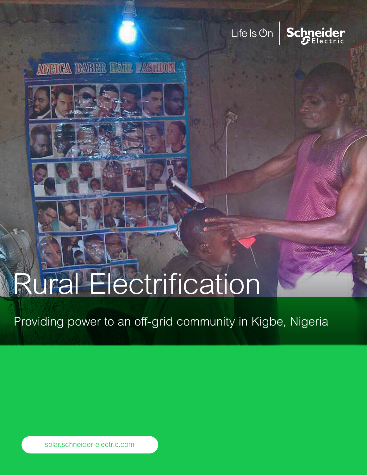## Life Is On



*NEWCA BABBE HATE PASTMON* 

# Rural Electrification

Providing power to an off-grid community in Kigbe, Nigeria

solar.schneider-electric.com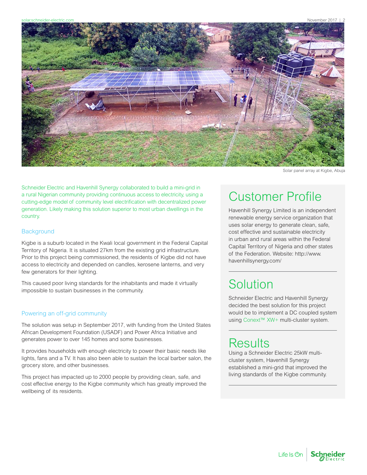

Solar panel array at Kigbe, Abuja

Schneider Electric and Havenhill Synergy collaborated to build a mini-grid in a rural Nigerian community providing continuous access to electricity, using a cutting-edge model of community level electrification with decentralized power generation. Likely making this solution superior to most urban dwellings in the country.

#### **Background**

Kigbe is a suburb located in the Kwali local government in the Federal Capital Territory of Nigeria. It is situated 27km from the existing grid infrastructure. Prior to this project being commissioned, the residents of Kigbe did not have access to electricity and depended on candles, kerosene lanterns, and very few generators for their lighting.

This caused poor living standards for the inhabitants and made it virtually impossible to sustain businesses in the community.

### Powering an off-grid community

The solution was setup in September 2017, with funding from the United States African Development Foundation (USADF) and Power Africa Initiative and generates power to over 145 homes and some businesses.

It provides households with enough electricity to power their basic needs like lights, fans and a TV. It has also been able to sustain the local barber salon, the grocery store, and other businesses.

This project has impacted up to 2000 people by providing clean, safe, and cost effective energy to the Kigbe community which has greatly improved the wellbeing of its residents.

## Customer Profile

Havenhill Synergy Limited is an independent renewable energy service organization that uses solar energy to generate clean, safe, cost effective and sustainable electricity in urban and rural areas within the Federal Capital Territory of Nigeria and other states of the Federation. Website: [http://www.](http://www.havenhillsynergy.com/ ) [havenhillsynergy.com/](http://www.havenhillsynergy.com/ )

## **Solution**

Schneider Electric and Havenhill Synergy decided the best solution for this project would be to implement a DC coupled system using [Conext™ XW+](https://solar.schneider-electric.com/product/conext-xw-hybrid-inverter/) multi-cluster system.

## Results

Using a Schneider Electric 25kW multicluster system, Havenhill Synergy established a mini-grid that improved the living standards of the Kigbe community.

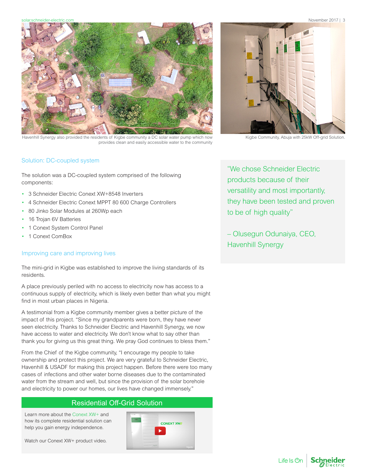solar.schneider-electric.com November 2017 | 3



Havenhill Synergy also provided the residents of Kigbe community a DC solar water pump which now Kigbe Community, Abuja with 25kW Off-grid Solution provides clean and easily accessible water to the community



### Solution: DC-coupled system

The solution was a DC-coupled system comprised of the following components:

- 3 Schneider Electric Conext XW+8548 Inverters
- 4 Schneider Electric Conext MPPT 80 600 Charge Controllers
- 80 Jinko Solar Modules at 260Wp each
- 16 Trojan 6V Batteries
- 1 Conext System Control Panel
- 1 Conext ComBox

#### Improving care and improving lives

The mini-grid in Kigbe was established to improve the living standards of its residents.

A place previously periled with no access to electricity now has access to a continuous supply of electricity, which is likely even better than what you might find in most urban places in Nigeria.

A testimonial from a Kigbe community member gives a better picture of the impact of this project. "Since my grandparents were born, they have never seen electricity. Thanks to Schneider Electric and Havenhill Synergy, we now have access to water and electricity. We don't know what to say other than thank you for giving us this great thing. We pray God continues to bless them."

From the Chief of the Kigbe community, "I encourage my people to take ownership and protect this project. We are very grateful to Schneider Electric, Havenhill & USADF for making this project happen. Before there were too many cases of infections and other water borne diseases due to the contaminated water from the stream and well, but since the provision of the solar borehole and electricity to power our homes, our lives have changed immensely."

## Residential Off-Grid Solution

Learn more about the [Conext XW+](https://solar.schneider-electric.com/product/conext-xw-hybrid-inverter/) and how its complete residential solution can help you gain energy independence.

Watch our [Conext XW+ product video.](https://youtu.be/VmlS_YBqLEs)



"We chose Schneider Electric products because of their versatility and most importantly, they have been tested and proven to be of high quality"

– Olusegun Odunaiya, CEO, Havenhill Synergy

Life Is **On**